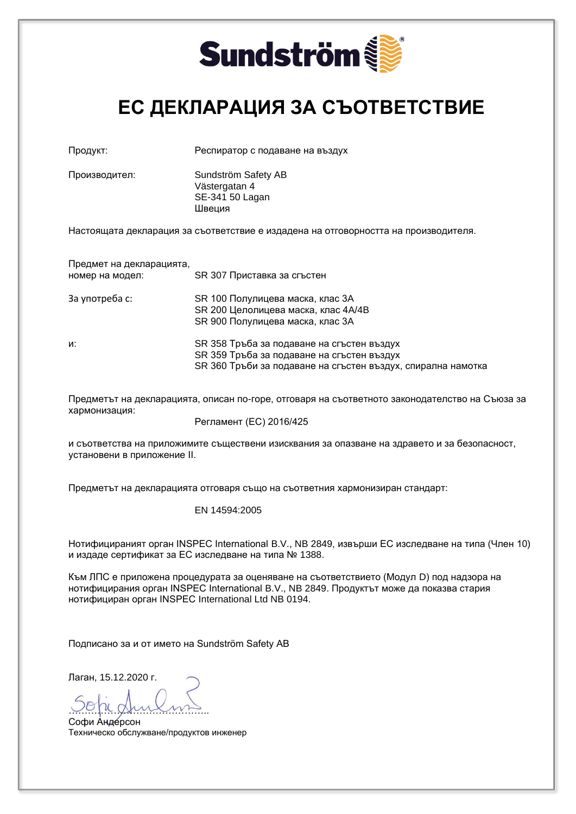

### **ЕС ДЕКЛАРАЦИЯ ЗА СЪОТВЕТСТВИЕ**

| Производител: | Sundström Safety AB |
|---------------|---------------------|
|               | Västergatan 4       |
|               | SE-341 50 Lagan     |
|               | Швеция              |

Продукт: Респиратор с подаване на въздух

Настоящата декларация за съответствие е издадена на отговорността на производителя.

Предмет на декларацията, номер на модел: SR 307 Приставка за сгъстен

| За употреба с: | SR 100 Полулицева маска, клас 3A    |
|----------------|-------------------------------------|
|                | SR 200 Целолицева маска, клас 4A/4B |
|                | SR 900 Полулицева маска, клас 3A    |

и: SR 358 Тръба за подаване на сгъстен въздух SR 359 Тръба за подаване на сгъстен въздух SR 360 Тръби за подаване на сгъстен въздух, спирална намотка

Предметът на декларацията, описан по-горе, отговаря на съответното законодателство на Съюза за хармонизация:

Регламент (ЕС) 2016/425

и съответства на приложимите съществени изисквания за опазване на здравето и за безопасност, установени в приложение II.

Предметът на декларацията отговаря също на съответния хармонизиран стандарт:

EN 14594:2005

Нотифицираният орган INSPEC International B.V., NB 2849, извърши ЕС изследване на типа (Член 10) и издаде сертификат за ЕС изследване на типа № 1388.

Към ЛПС е приложена процедурата за оценяване на съответствието (Модул D) под надзора на нотифицирания орган INSPEC International B.V., NB 2849. Продуктът може да показва стария нотифициран орган INSPEC International Ltd NB 0194.

Подписано за и от името на Sundström Safety AB

Лаган, 15.12.2020 г.

…………………………………….. Софи Андерсон Техническо обслужване/продуктов инженер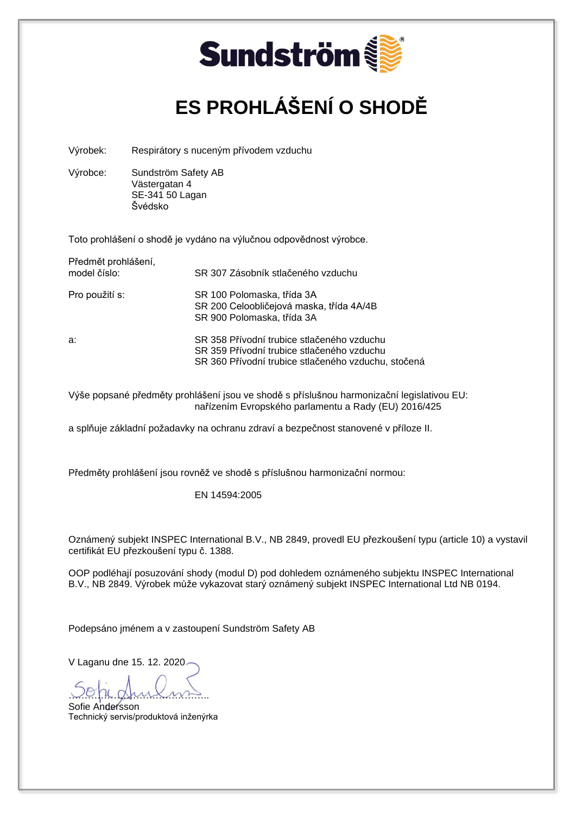

# **ES PROHLÁŠENÍ O SHODĚ**

Výrobek: Respirátory s nuceným přívodem vzduchu

Výrobce: Sundström Safety AB Västergatan 4 SE-341 50 Lagan Švédsko

Toto prohlášení o shodě je vydáno na výlučnou odpovědnost výrobce.

| Předmět prohlášení,<br>model číslo: | SR 307 Zásobník stlačeného vzduchu                                                                                                              |
|-------------------------------------|-------------------------------------------------------------------------------------------------------------------------------------------------|
| Pro použití s:                      | SR 100 Polomaska, třída 3A<br>SR 200 Celoobličejová maska, třída 4A/4B<br>SR 900 Polomaska, třída 3A                                            |
| a:                                  | SR 358 Přívodní trubice stlačeného vzduchu<br>SR 359 Přívodní trubice stlačeného vzduchu<br>SR 360 Přívodní trubice stlačeného vzduchu, stočená |

Výše popsané předměty prohlášení jsou ve shodě s příslušnou harmonizační legislativou EU: nařízením Evropského parlamentu a Rady (EU) 2016/425

a splňuje základní požadavky na ochranu zdraví a bezpečnost stanovené v příloze II.

Předměty prohlášení jsou rovněž ve shodě s příslušnou harmonizační normou:

EN 14594:2005

Oznámený subjekt INSPEC International B.V., NB 2849, provedl EU přezkoušení typu (article 10) a vystavil certifikát EU přezkoušení typu č. 1388.

OOP podléhají posuzování shody (modul D) pod dohledem oznámeného subjektu INSPEC International B.V., NB 2849. Výrobek může vykazovat starý oznámený subjekt INSPEC International Ltd NB 0194.

Podepsáno jménem a v zastoupení Sundström Safety AB

V Laganu dne 15. 12. 2020

<u>voja gruioms</u>

Sofie Andersson Technický servis/produktová inženýrka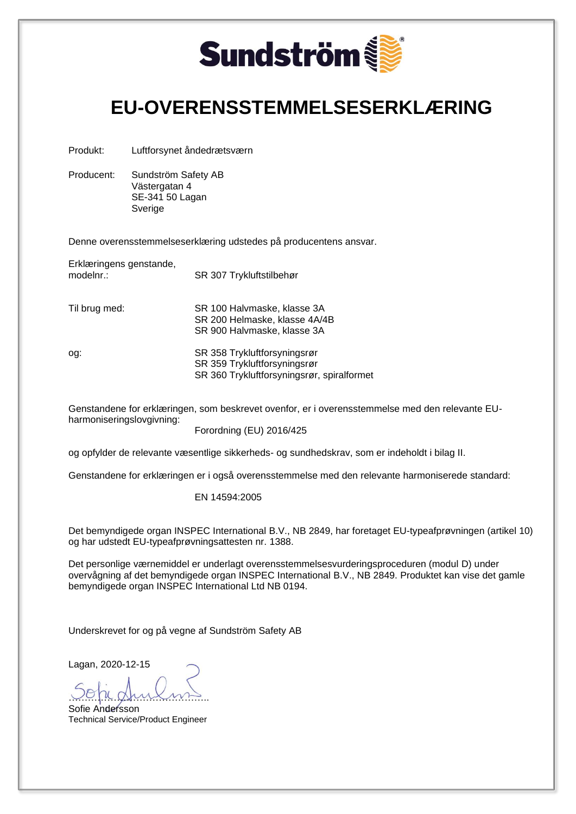

### **EU-OVERENSSTEMMELSESERKLÆRING**

Produkt: Luftforsynet åndedrætsværn

Producent: Sundström Safety AB Västergatan 4 SE-341 50 Lagan Sverige

Denne overensstemmelseserklæring udstedes på producentens ansvar.

Erklæringens genstande,

modelnr.: SR 307 Trykluftstilbehør

Til brug med: SR 100 Halvmaske, klasse 3A SR 200 Helmaske, klasse 4A/4B SR 900 Halvmaske, klasse 3A

og: SR 358 Trykluftforsyningsrør SR 359 Trykluftforsyningsrør SR 360 Trykluftforsyningsrør, spiralformet

Genstandene for erklæringen, som beskrevet ovenfor, er i overensstemmelse med den relevante EUharmoniseringslovgivning:

Forordning (EU) 2016/425

og opfylder de relevante væsentlige sikkerheds- og sundhedskrav, som er indeholdt i bilag II.

Genstandene for erklæringen er i også overensstemmelse med den relevante harmoniserede standard:

EN 14594:2005

Det bemyndigede organ INSPEC International B.V., NB 2849, har foretaget EU-typeafprøvningen (artikel 10) og har udstedt EU-typeafprøvningsattesten nr. 1388.

Det personlige værnemiddel er underlagt overensstemmelsesvurderingsproceduren (modul D) under overvågning af det bemyndigede organ INSPEC International B.V., NB 2849. Produktet kan vise det gamle bemyndigede organ INSPEC International Ltd NB 0194.

Underskrevet for og på vegne af Sundström Safety AB

…………………………………….. Sofie Andersson

Technical Service/Product Engineer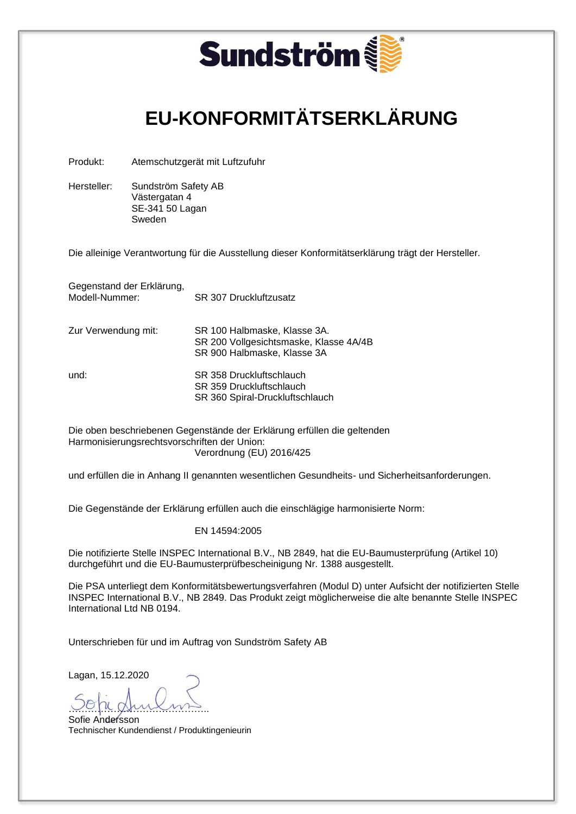|                                      |                                                                   | <b>Sundström</b>                                                                                                                                                                                                 |
|--------------------------------------|-------------------------------------------------------------------|------------------------------------------------------------------------------------------------------------------------------------------------------------------------------------------------------------------|
|                                      |                                                                   | <b>EU-KONFORMITÄTSERKLÄRUNG</b>                                                                                                                                                                                  |
| Produkt:                             |                                                                   | Atemschutzgerät mit Luftzufuhr                                                                                                                                                                                   |
| Hersteller:                          | Sundström Safety AB<br>Västergatan 4<br>SE-341 50 Lagan<br>Sweden |                                                                                                                                                                                                                  |
|                                      |                                                                   | Die alleinige Verantwortung für die Ausstellung dieser Konformitätserklärung trägt der Hersteller.                                                                                                               |
| Modell-Nummer:                       | Gegenstand der Erklärung,                                         | SR 307 Druckluftzusatz                                                                                                                                                                                           |
| Zur Verwendung mit:                  |                                                                   | SR 100 Halbmaske, Klasse 3A.<br>SR 200 Vollgesichtsmaske, Klasse 4A/4B<br>SR 900 Halbmaske, Klasse 3A                                                                                                            |
| und:                                 |                                                                   | SR 358 Druckluftschlauch<br>SR 359 Druckluftschlauch<br>SR 360 Spiral-Druckluftschlauch                                                                                                                          |
|                                      |                                                                   | Die oben beschriebenen Gegenstände der Erklärung erfüllen die geltenden<br>Harmonisierungsrechtsvorschriften der Union:<br>Verordnung (EU) 2016/425                                                              |
|                                      |                                                                   | und erfüllen die in Anhang II genannten wesentlichen Gesundheits- und Sicherheitsanforderungen.                                                                                                                  |
|                                      |                                                                   | Die Gegenstände der Erklärung erfüllen auch die einschlägige harmonisierte Norm:                                                                                                                                 |
|                                      |                                                                   | EN 14594:2005                                                                                                                                                                                                    |
|                                      |                                                                   | Die notifizierte Stelle INSPEC International B.V., NB 2849, hat die EU-Baumusterprüfung (Artikel 10)<br>durchgeführt und die EU-Baumusterprüfbescheinigung Nr. 1388 ausgestellt.                                 |
|                                      | International Ltd NB 0194.                                        | Die PSA unterliegt dem Konformitätsbewertungsverfahren (Modul D) unter Aufsicht der notifizierten Stelle<br>INSPEC International B.V., NB 2849. Das Produkt zeigt möglicherweise die alte benannte Stelle INSPEC |
|                                      |                                                                   | Unterschrieben für und im Auftrag von Sundström Safety AB                                                                                                                                                        |
| Lagan, 15.12.2020<br>Sofie Andersson |                                                                   |                                                                                                                                                                                                                  |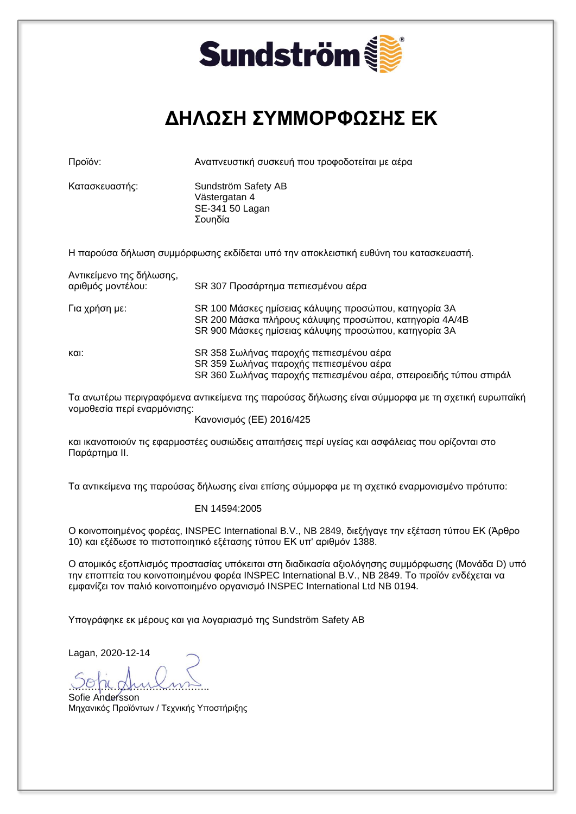

## **ΔΗΛΩΣΗ ΣΥΜΜΟΡΦΩΣΗΣ ΕΚ**

Προϊόν: Αναπνευστική συσκευή που τροφοδοτείται με αέρα

Κατασκευαστής: Sundström Safety AB Västergatan 4 SE-341 50 Lagan Σουηδία

Η παρούσα δήλωση συμμόρφωσης εκδίδεται υπό την αποκλειστική ευθύνη του κατασκευαστή.

| Αντικείμενο της δήλωσης,<br>αριθμός μοντέλου: | SR 307 Προσάρτημα πεπιεσμένου αέρα                                                                                                                                       |
|-----------------------------------------------|--------------------------------------------------------------------------------------------------------------------------------------------------------------------------|
| Για χρήση με:                                 | SR 100 Μάσκες ημίσειας κάλυψης προσώπου, κατηγορία 3A<br>SR 200 Μάσκα πλήρους κάλυψης προσώπου, κατηγορία 4A/4B<br>SR 900 Μάσκες ημίσειας κάλυψης προσώπου, κατηγορία 3A |
| και:                                          | SR 358 Σωλήνας παροχής πεπιεσμένου αέρα<br>SR 359 Σωλήνας παροχής πεπιεσμένου αέρα<br>SR 360 Σωλήνας παροχής πεπιεσμένου αέρα, σπειροειδής τύπου σπιράλ                  |

Τα ανωτέρω περιγραφόμενα αντικείμενα της παρούσας δήλωσης είναι σύμμορφα με τη σχετική ευρωπαϊκή νομοθεσία περί εναρμόνισης:

Κανονισμός (ΕΕ) 2016/425

και ικανοποιούν τις εφαρμοστέες ουσιώδεις απαιτήσεις περί υγείας και ασφάλειας που ορίζονται στο Παράρτημα II.

Τα αντικείμενα της παρούσας δήλωσης είναι επίσης σύμμορφα με τη σχετικό εναρμονισμένο πρότυπο:

#### EN 14594:2005

Ο κοινοποιημένος φορέας, INSPEC International B.V., NB 2849, διεξήγαγε την εξέταση τύπου ΕΚ (Άρθρο 10) και εξέδωσε το πιστοποιητικό εξέτασης τύπου ΕΚ υπ' αριθμόν 1388.

Ο ατομικός εξοπλισμός προστασίας υπόκειται στη διαδικασία αξιολόγησης συμμόρφωσης (Μονάδα D) υπό την εποπτεία του κοινοποιημένου φορέα INSPEC International B.V., NB 2849. Το προϊόν ενδέχεται να εμφανίζει τον παλιό κοινοποιημένο οργανισμό INSPEC International Ltd NB 0194.

Υπογράφηκε εκ μέρους και για λογαριασμό της Sundström Safety AB

<u>voja gruiomis</u> Sofie Andersson

Μηχανικός Προϊόντων / Τεχνικής Υποστήριξης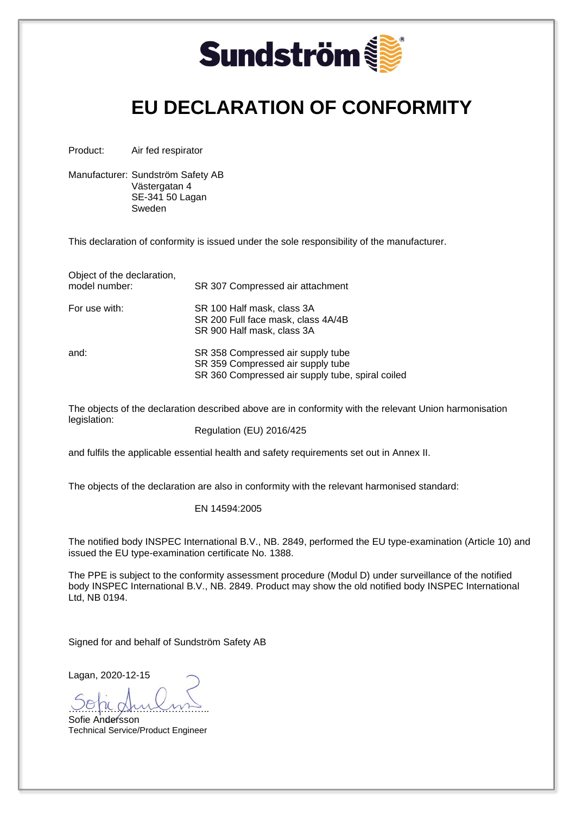

### **EU DECLARATION OF CONFORMITY**

Product: Air fed respirator

Manufacturer: Sundström Safety AB Västergatan 4 SE-341 50 Lagan Sweden

This declaration of conformity is issued under the sole responsibility of the manufacturer.

SR 307 Compressed air attachment

SR 200 Full face mask, class 4A/4B

SR 900 Half mask, class 3A

| Object of the declaration, |  |
|----------------------------|--|
| model number:              |  |

For use with: SR 100 Half mask, class 3A

and: SR 358 Compressed air supply tube SR 359 Compressed air supply tube SR 360 Compressed air supply tube, spiral coiled

The objects of the declaration described above are in conformity with the relevant Union harmonisation legislation:

Regulation (EU) 2016/425

and fulfils the applicable essential health and safety requirements set out in Annex II.

The objects of the declaration are also in conformity with the relevant harmonised standard:

#### EN 14594:2005

The notified body INSPEC International B.V., NB. 2849, performed the EU type-examination (Article 10) and issued the EU type-examination certificate No. 1388.

The PPE is subject to the conformity assessment procedure (Modul D) under surveillance of the notified body INSPEC International B.V., NB. 2849. Product may show the old notified body INSPEC International Ltd, NB 0194.

Signed for and behalf of Sundström Safety AB

……………………………………..

Sofie Andersson Technical Service/Product Engineer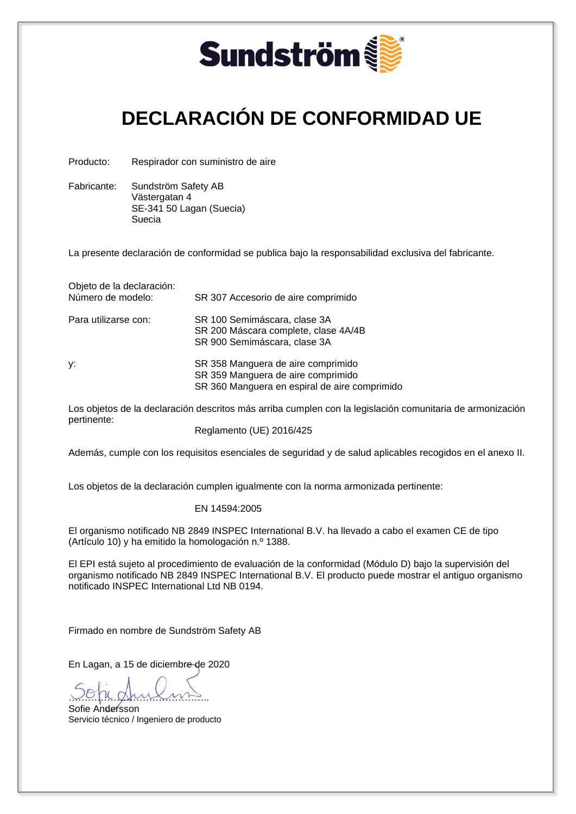

# **DECLARACIÓN DE CONFORMIDAD UE**

Producto: Respirador con suministro de aire

Fabricante: Sundström Safety AB Västergatan 4 SE-341 50 Lagan (Suecia) Suecia

La presente declaración de conformidad se publica bajo la responsabilidad exclusiva del fabricante.

Objeto de la declaración: Número de modelo: SR 307 Accesorio de aire comprimido

| Para utilizarse con: | SR 100 Semimáscara, clase 3A<br>SR 200 Máscara complete, clase 4A/4B<br>SR 900 Semimáscara, clase 3A                      |
|----------------------|---------------------------------------------------------------------------------------------------------------------------|
| y:                   | SR 358 Manguera de aire comprimido<br>SR 359 Manguera de aire comprimido<br>SR 360 Manguera en espiral de aire comprimido |

Los objetos de la declaración descritos más arriba cumplen con la legislación comunitaria de armonización pertinente:

Reglamento (UE) 2016/425

Además, cumple con los requisitos esenciales de seguridad y de salud aplicables recogidos en el anexo II.

Los objetos de la declaración cumplen igualmente con la norma armonizada pertinente:

#### EN 14594:2005

El organismo notificado NB 2849 INSPEC International B.V. ha llevado a cabo el examen CE de tipo (Artículo 10) y ha emitido la homologación n.º 1388.

El EPI está sujeto al procedimiento de evaluación de la conformidad (Módulo D) bajo la supervisión del organismo notificado NB 2849 INSPEC International B.V. El producto puede mostrar el antiguo organismo notificado INSPEC International Ltd NB 0194.

Firmado en nombre de Sundström Safety AB

En Lagan, a 15 de diciembre de 2020

……………………………………..

Sofie Andersson Servicio técnico / Ingeniero de producto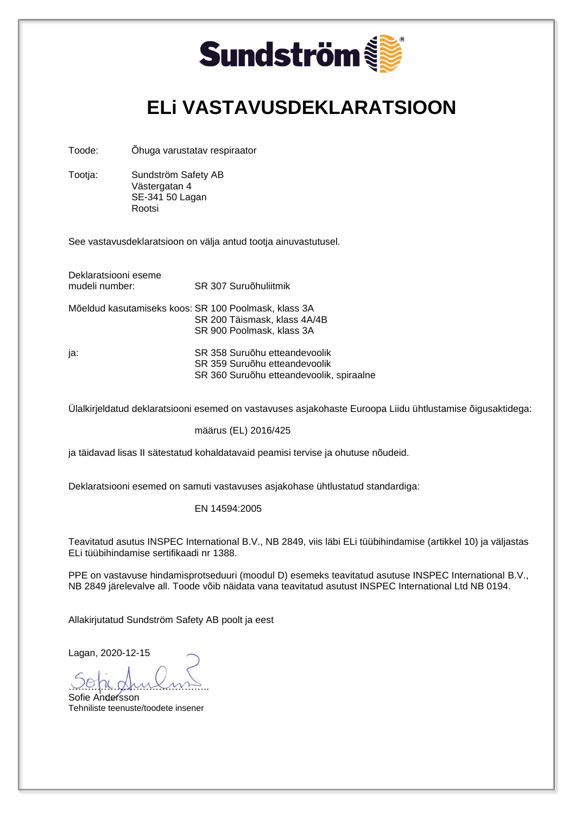

### **ELi VASTAVUSDEKLARATSIOON**

Toode: Õhuga varustatav respiraator

Tootja: Sundström Safety AB Västergatan 4 SE-341 50 Lagan Rootsi

See vastavusdeklaratsioon on välja antud tootja ainuvastutusel.

| Deklaratsiooni eseme<br>mudeli number: | SR 307 Suruõhuliitmik                                                                                             |
|----------------------------------------|-------------------------------------------------------------------------------------------------------------------|
|                                        | Mõeldud kasutamiseks koos: SR 100 Poolmask, klass 3A<br>SR 200 Täismask, klass 4A/4B<br>SR 900 Poolmask, klass 3A |
| ja:                                    | SR 358 Suruõhu etteandevoolik<br>SR 359 Suruõhu etteandevoolik<br>SR 360 Suruõhu etteandevoolik, spiraalne        |

Ülalkirjeldatud deklaratsiooni esemed on vastavuses asjakohaste Euroopa Liidu ühtlustamise õigusaktidega:

määrus (EL) 2016/425

ja täidavad lisas II sätestatud kohaldatavaid peamisi tervise ja ohutuse nõudeid.

Deklaratsiooni esemed on samuti vastavuses asjakohase ühtlustatud standardiga:

#### EN 14594:2005

Teavitatud asutus INSPEC International B.V., NB 2849, viis läbi ELi tüübihindamise (artikkel 10) ja väljastas ELi tüübihindamise sertifikaadi nr 1388.

PPE on vastavuse hindamisprotseduuri (moodul D) esemeks teavitatud asutuse INSPEC International B.V., NB 2849 järelevalve all. Toode võib näidata vana teavitatud asutust INSPEC International Ltd NB 0194.

Allakirjutatud Sundström Safety AB poolt ja eest

<u>voja gruiomis</u> Sofie Andersson

Tehniliste teenuste/toodete insener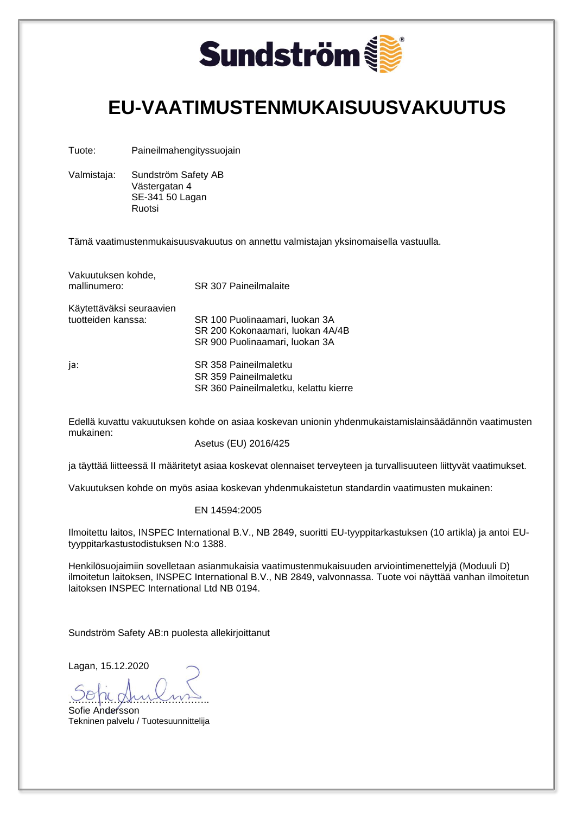

### **EU-VAATIMUSTENMUKAISUUSVAKUUTUS**

Tuote: Paineilmahengityssuojain

Valmistaja: Sundström Safety AB Västergatan 4 SE-341 50 Lagan Ruotsi

Tämä vaatimustenmukaisuusvakuutus on annettu valmistajan yksinomaisella vastuulla.

| Vakuutuksen kohde,<br>mallinumero: | <b>SR 307 Paineilmalaite</b>          |
|------------------------------------|---------------------------------------|
| Käytettäväksi seuraavien           |                                       |
| tuotteiden kanssa:                 | SR 100 Puolinaamari, luokan 3A        |
|                                    | SR 200 Kokonaamari, luokan 4A/4B      |
|                                    | SR 900 Puolinaamari, luokan 3A        |
| ja:                                | SR 358 Paineilmaletku                 |
|                                    | SR 359 Paineilmaletku                 |
|                                    | SR 360 Paineilmaletku. kelattu kierre |

Edellä kuvattu vakuutuksen kohde on asiaa koskevan unionin yhdenmukaistamislainsäädännön vaatimusten mukainen:

Asetus (EU) 2016/425

ja täyttää liitteessä II määritetyt asiaa koskevat olennaiset terveyteen ja turvallisuuteen liittyvät vaatimukset.

Vakuutuksen kohde on myös asiaa koskevan yhdenmukaistetun standardin vaatimusten mukainen:

#### EN 14594:2005

Ilmoitettu laitos, INSPEC International B.V., NB 2849, suoritti EU-tyyppitarkastuksen (10 artikla) ja antoi EUtyyppitarkastustodistuksen N:o 1388.

Henkilösuojaimiin sovelletaan asianmukaisia vaatimustenmukaisuuden arviointimenettelyjä (Moduuli D) ilmoitetun laitoksen, INSPEC International B.V., NB 2849, valvonnassa. Tuote voi näyttää vanhan ilmoitetun laitoksen INSPEC International Ltd NB 0194.

Sundström Safety AB:n puolesta allekirjoittanut

Lagan, 15.12.2020

……………………………………..

Sofie Andersson Tekninen palvelu / Tuotesuunnittelija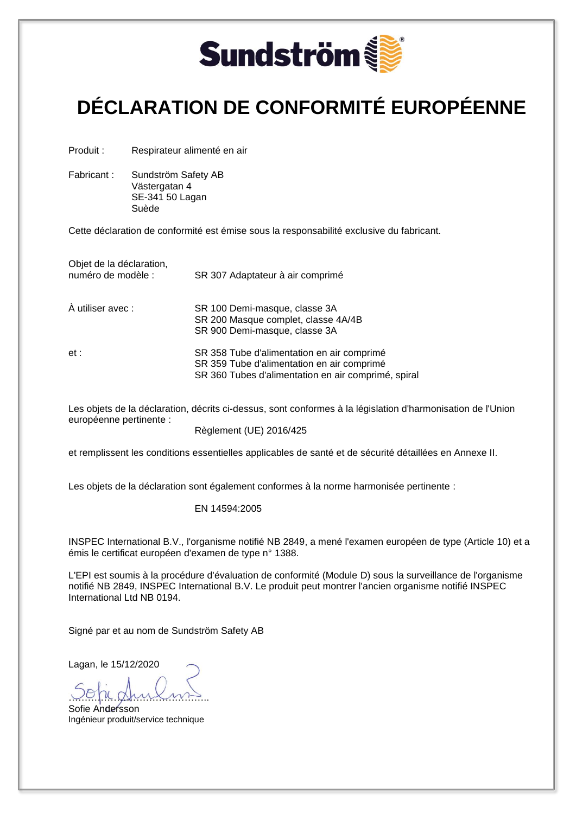

# **DÉCLARATION DE CONFORMITÉ EUROPÉENNE**

Produit : Respirateur alimenté en air

Fabricant : Sundström Safety AB Västergatan 4 SE-341 50 Lagan Suède

Cette déclaration de conformité est émise sous la responsabilité exclusive du fabricant.

| Objet de la déclaration,<br>numéro de modèle : | SR 307 Adaptateur à air comprimé                                                                                                                |
|------------------------------------------------|-------------------------------------------------------------------------------------------------------------------------------------------------|
| À utiliser avec :                              | SR 100 Demi-masque, classe 3A<br>SR 200 Masque complet, classe 4A/4B<br>SR 900 Demi-masque, classe 3A                                           |
| et :                                           | SR 358 Tube d'alimentation en air comprimé<br>SR 359 Tube d'alimentation en air comprimé<br>SR 360 Tubes d'alimentation en air comprimé, spiral |

Les objets de la déclaration, décrits ci-dessus, sont conformes à la législation d'harmonisation de l'Union européenne pertinente :

Règlement (UE) 2016/425

et remplissent les conditions essentielles applicables de santé et de sécurité détaillées en Annexe II.

Les objets de la déclaration sont également conformes à la norme harmonisée pertinente :

#### EN 14594:2005

INSPEC International B.V., l'organisme notifié NB 2849, a mené l'examen européen de type (Article 10) et a émis le certificat européen d'examen de type n° 1388.

L'EPI est soumis à la procédure d'évaluation de conformité (Module D) sous la surveillance de l'organisme notifié NB 2849, INSPEC International B.V. Le produit peut montrer l'ancien organisme notifié INSPEC International Ltd NB 0194.

Signé par et au nom de Sundström Safety AB

Lagan, le 15/12/2020

……………………………………..

Sofie Andersson Ingénieur produit/service technique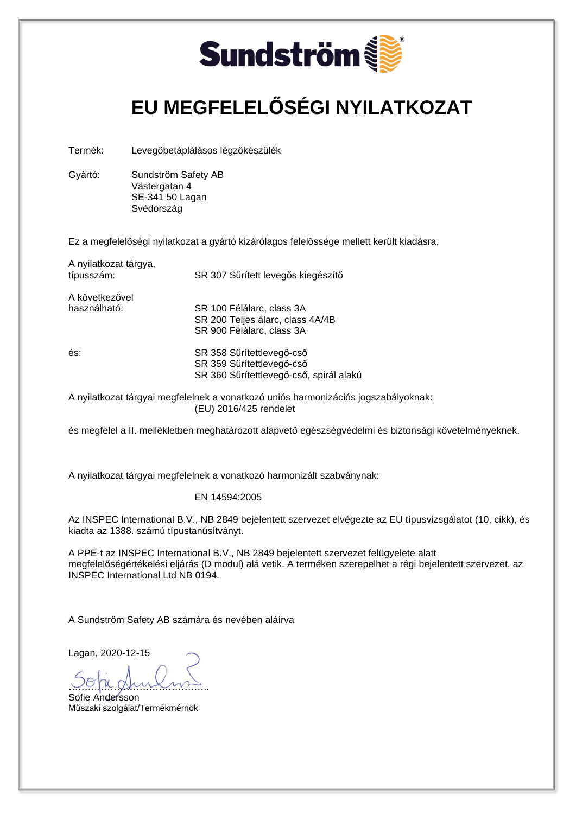

## **EU MEGFELELŐSÉGI NYILATKOZAT**

Termék: Levegőbetáplálásos légzőkészülék

Gyártó: Sundström Safety AB Västergatan 4 SE-341 50 Lagan Svédország

Ez a megfelelőségi nyilatkozat a gyártó kizárólagos felelőssége mellett került kiadásra.

A nyilatkozat tárgya, típusszám: SR 307 Sűrített levegős kiegészítő

A következővel

használható: SR 100 Félálarc, class 3A

SR 200 Teljes álarc, class 4A/4B SR 900 Félálarc, class 3A

és: SR 358 Sűrítettlevegő-cső SR 359 Sűrítettlevegő-cső SR 360 Sűrítettlevegő-cső, spirál alakú

A nyilatkozat tárgyai megfelelnek a vonatkozó uniós harmonizációs jogszabályoknak: (EU) 2016/425 rendelet

és megfelel a II. mellékletben meghatározott alapvető egészségvédelmi és biztonsági követelményeknek.

A nyilatkozat tárgyai megfelelnek a vonatkozó harmonizált szabványnak:

#### EN 14594:2005

Az INSPEC International B.V., NB 2849 bejelentett szervezet elvégezte az EU típusvizsgálatot (10. cikk), és kiadta az 1388. számú típustanúsítványt.

A PPE-t az INSPEC International B.V., NB 2849 bejelentett szervezet felügyelete alatt megfelelőségértékelési eljárás (D modul) alá vetik. A terméken szerepelhet a régi bejelentett szervezet, az INSPEC International Ltd NB 0194.

A Sundström Safety AB számára és nevében aláírva

…………………………………….. Sofie Andersson

Műszaki szolgálat/Termékmérnök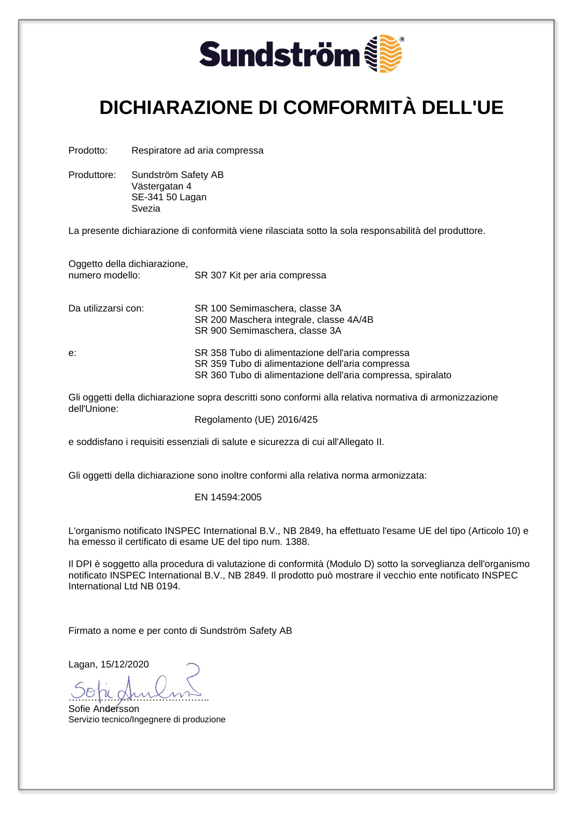

### **DICHIARAZIONE DI COMFORMITÀ DELL'UE**

Prodotto: Respiratore ad aria compressa

Produttore: Sundström Safety AB Västergatan 4 SE-341 50 Lagan Svezia

La presente dichiarazione di conformità viene rilasciata sotto la sola responsabilità del produttore.

Oggetto della dichiarazione,<br>numero modello: SR 307 Kit per aria compressa

Da utilizzarsi con: SR 100 Semimaschera, classe 3A

e: SR 358 Tubo di alimentazione dell'aria compressa SR 359 Tubo di alimentazione dell'aria compressa SR 360 Tubo di alimentazione dell'aria compressa, spiralato

Gli oggetti della dichiarazione sopra descritti sono conformi alla relativa normativa di armonizzazione dell'Unione:

SR 200 Maschera integrale, classe 4A/4B

SR 900 Semimaschera, classe 3A

Regolamento (UE) 2016/425

e soddisfano i requisiti essenziali di salute e sicurezza di cui all'Allegato II.

Gli oggetti della dichiarazione sono inoltre conformi alla relativa norma armonizzata:

EN 14594:2005

L'organismo notificato INSPEC International B.V., NB 2849, ha effettuato l'esame UE del tipo (Articolo 10) e ha emesso il certificato di esame UE del tipo num. 1388.

Il DPI è soggetto alla procedura di valutazione di conformità (Modulo D) sotto la sorveglianza dell'organismo notificato INSPEC International B.V., NB 2849. Il prodotto può mostrare il vecchio ente notificato INSPEC International Ltd NB 0194.

Firmato a nome e per conto di Sundström Safety AB

Lagan, 15/12/2020

……………………………………..

Sofie Andersson Servizio tecnico/Ingegnere di produzione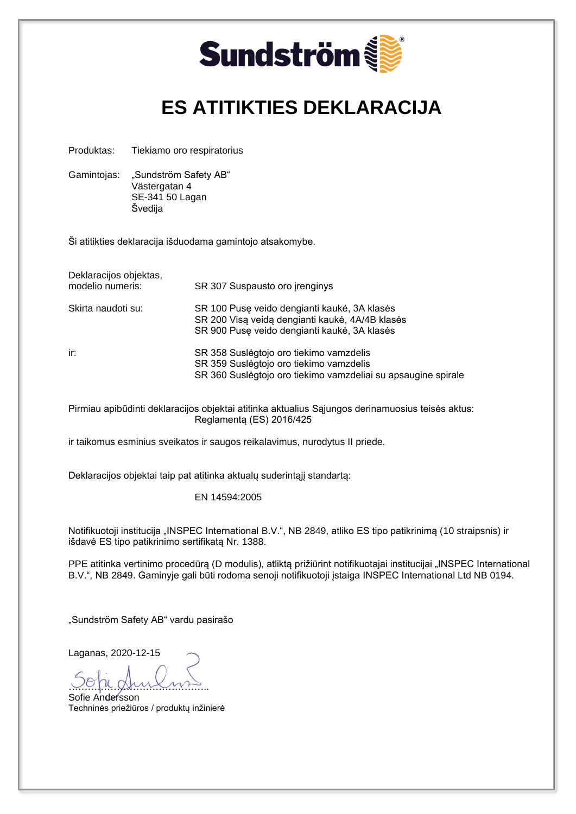

### **ES ATITIKTIES DEKLARACIJA**

Produktas: Tiekiamo oro respiratorius

Gamintojas: "Sundström Safety AB" Västergatan 4 SE-341 50 Lagan Švedija

Ši atitikties deklaracija išduodama gamintojo atsakomybe.

| Deklaracijos objektas, |                                                               |
|------------------------|---------------------------------------------------------------|
| modelio numeris:       | SR 307 Suspausto oro irenginys                                |
| Skirta naudoti su:     | SR 100 Puse veido dengianti kaukė, 3A klasės                  |
|                        | SR 200 Visa veida dengianti kaukė, 4A/4B klasės               |
|                        | SR 900 Puse veido dengianti kaukė, 3A klasės                  |
| ir:                    | SR 358 Suslėgtojo oro tiekimo vamzdelis                       |
|                        | SR 359 Suslegtojo oro tiekimo vamzdelis                       |
|                        | SR 360 Suslegtojo oro tiekimo vamzdeliai su apsaugine spirale |

Pirmiau apibūdinti deklaracijos objektai atitinka aktualius Sajungos derinamuosius teisės aktus: Reglamentą (ES) 2016/425

ir taikomus esminius sveikatos ir saugos reikalavimus, nurodytus II priede.

Deklaracijos objektai taip pat atitinka aktualų suderintąjį standartą:

EN 14594:2005

Notifikuotoji institucija "INSPEC International B.V.", NB 2849, atliko ES tipo patikrinimą (10 straipsnis) ir išdavė ES tipo patikrinimo sertifikatą Nr. 1388.

PPE atitinka vertinimo procedūrą (D modulis), atliktą prižiūrint notifikuotajai institucijai "INSPEC International B.V.", NB 2849. Gaminyje gali būti rodoma senoji notifikuotoji įstaiga INSPEC International Ltd NB 0194.

"Sundström Safety AB" vardu pasirašo

Laganas, 2020-12-15

…………………………………….. Sofie Andersson

Techninės priežiūros / produktų inžinierė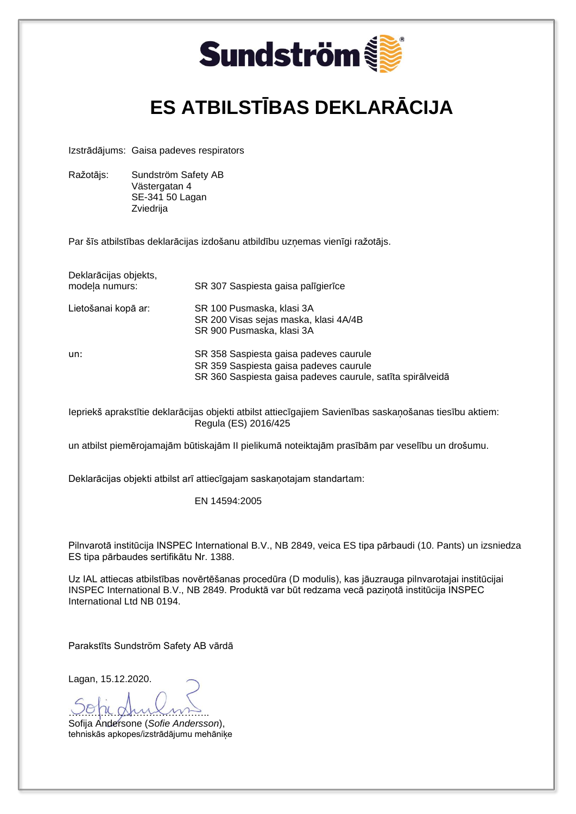

## **ES ATBILSTĪBAS DEKLARĀCIJA**

Izstrādājums: Gaisa padeves respirators

Ražotājs: Sundström Safety AB Västergatan 4 SE-341 50 Lagan Zviedrija

Par šīs atbilstības deklarācijas izdošanu atbildību uzņemas vienīgi ražotājs.

| Deklarācijas objekts,<br>modela numurs: | SR 307 Saspiesta gaisa palīgierīce                                                                                                             |
|-----------------------------------------|------------------------------------------------------------------------------------------------------------------------------------------------|
| Lietošanai kopā ar:                     | SR 100 Pusmaska, klasi 3A<br>SR 200 Visas sejas maska, klasi 4A/4B<br>SR 900 Pusmaska, klasi 3A                                                |
| un:                                     | SR 358 Saspiesta gaisa padeves caurule<br>SR 359 Saspiesta gaisa padeves caurule<br>SR 360 Saspiesta gaisa padeves caurule, satīta spirālveidā |

Iepriekš aprakstītie deklarācijas objekti atbilst attiecīgajiem Savienības saskaņošanas tiesību aktiem: Regula (ES) 2016/425

un atbilst piemērojamajām būtiskajām II pielikumā noteiktajām prasībām par veselību un drošumu.

Deklarācijas objekti atbilst arī attiecīgajam saskaņotajam standartam:

EN 14594:2005

Pilnvarotā institūcija INSPEC International B.V., NB 2849, veica ES tipa pārbaudi (10. Pants) un izsniedza ES tipa pārbaudes sertifikātu Nr. 1388.

Uz IAL attiecas atbilstības novērtēšanas procedūra (D modulis), kas jāuzrauga pilnvarotajai institūcijai INSPEC International B.V., NB 2849. Produktā var būt redzama vecā paziņotā institūcija INSPEC International Ltd NB 0194.

Parakstīts Sundström Safety AB vārdā

Lagan, 15.12.2020.

<u>voja gruioms</u> Sofija Andersone (*Sofie Andersson*), tehniskās apkopes/izstrādājumu mehāniķe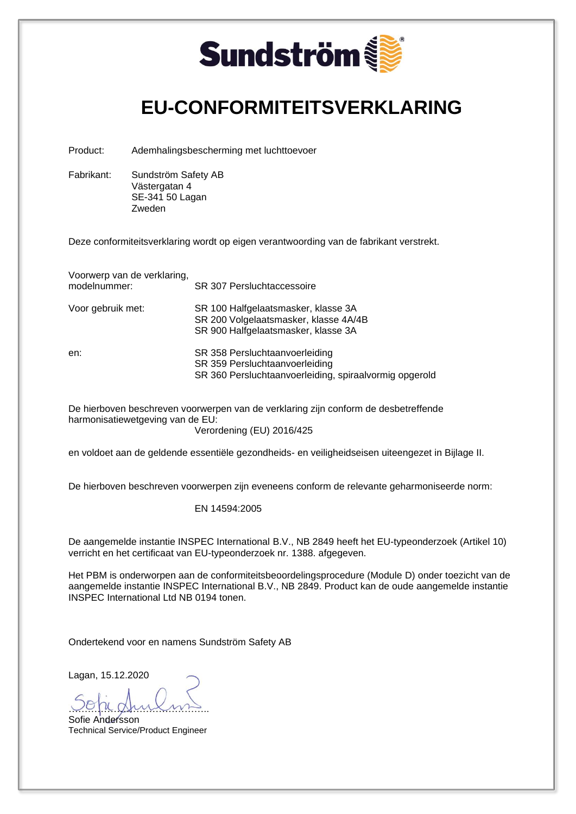

### **EU-CONFORMITEITSVERKLARING**

Product: Ademhalingsbescherming met luchttoevoer

Fabrikant: Sundström Safety AB Västergatan 4 SE-341 50 Lagan Zweden

Deze conformiteitsverklaring wordt op eigen verantwoording van de fabrikant verstrekt.

Voorwerp van de verklaring, modelnummer: SR 307 Persluchtaccessoire

Voor gebruik met: SR 100 Halfgelaatsmasker, klasse 3A

SR 200 Volgelaatsmasker, klasse 4A/4B

en: SR 358 Persluchtaanvoerleiding SR 359 Persluchtaanvoerleiding SR 360 Persluchtaanvoerleiding, spiraalvormig opgerold

De hierboven beschreven voorwerpen van de verklaring zijn conform de desbetreffende harmonisatiewetgeving van de EU:

Verordening (EU) 2016/425

en voldoet aan de geldende essentiële gezondheids- en veiligheidseisen uiteengezet in Bijlage II.

SR 900 Halfgelaatsmasker, klasse 3A

De hierboven beschreven voorwerpen zijn eveneens conform de relevante geharmoniseerde norm:

#### EN 14594:2005

De aangemelde instantie INSPEC International B.V., NB 2849 heeft het EU-typeonderzoek (Artikel 10) verricht en het certificaat van EU-typeonderzoek nr. 1388. afgegeven.

Het PBM is onderworpen aan de conformiteitsbeoordelingsprocedure (Module D) onder toezicht van de aangemelde instantie INSPEC International B.V., NB 2849. Product kan de oude aangemelde instantie INSPEC International Ltd NB 0194 tonen.

Ondertekend voor en namens Sundström Safety AB

Lagan, 15.12.2020

<u>voja gruioms</u>

Sofie Andersson Technical Service/Product Engineer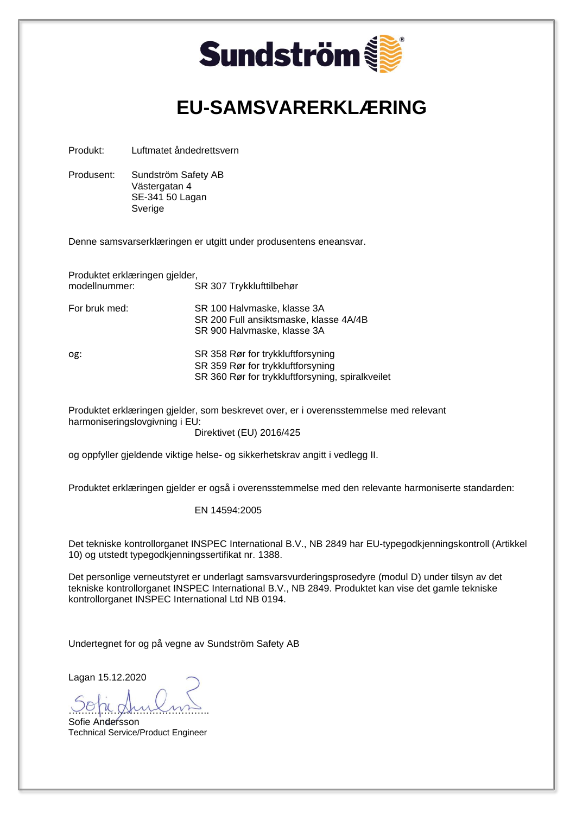

Sofie Andersson Technical Service/Product Engineer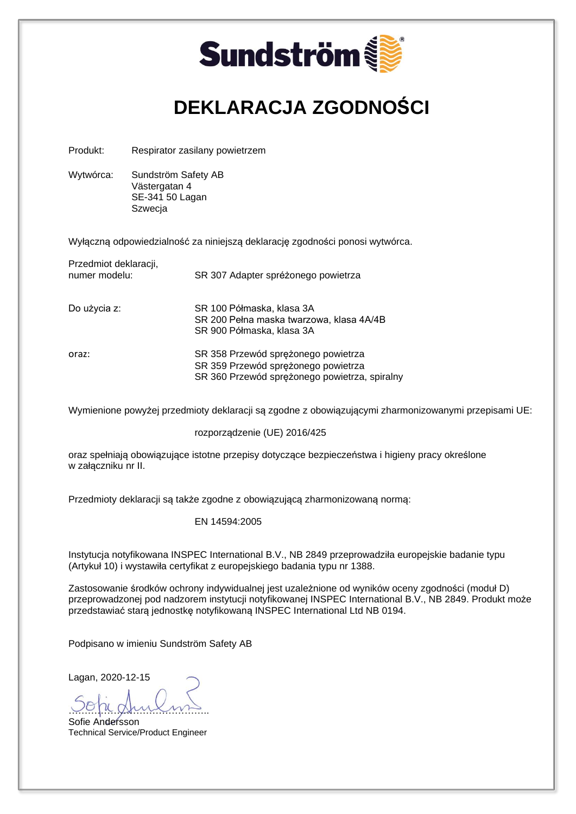

## **DEKLARACJA ZGODNOŚCI**

Produkt: Respirator zasilany powietrzem

Wytwórca: Sundström Safety AB Västergatan 4 SE-341 50 Lagan **Szwecja** 

Wyłączną odpowiedzialność za niniejszą deklarację zgodności ponosi wytwórca.

| Przedmiot deklaracji,<br>numer modelu: | SR 307 Adapter spréżonego powietrza                                                                                         |
|----------------------------------------|-----------------------------------------------------------------------------------------------------------------------------|
| Do użycia z:                           | SR 100 Półmaska, klasa 3A<br>SR 200 Pełna maska twarzowa, klasa 4A/4B<br>SR 900 Półmaska, klasa 3A                          |
| oraz:                                  | SR 358 Przewód sprężonego powietrza<br>SR 359 Przewód sprężonego powietrza<br>SR 360 Przewód sprężonego powietrza, spiralny |

Wymienione powyżej przedmioty deklaracji są zgodne z obowiązującymi zharmonizowanymi przepisami UE:

#### rozporządzenie (UE) 2016/425

oraz spełniają obowiązujące istotne przepisy dotyczące bezpieczeństwa i higieny pracy określone w załączniku nr II.

Przedmioty deklaracji są także zgodne z obowiązującą zharmonizowaną normą:

#### EN 14594:2005

Instytucja notyfikowana INSPEC International B.V., NB 2849 przeprowadziła europejskie badanie typu (Artykuł 10) i wystawiła certyfikat z europejskiego badania typu nr 1388.

Zastosowanie środków ochrony indywidualnej jest uzależnione od wyników oceny zgodności (moduł D) przeprowadzonej pod nadzorem instytucji notyfikowanej INSPEC International B.V., NB 2849. Produkt może przedstawiać starą jednostkę notyfikowaną INSPEC International Ltd NB 0194.

Podpisano w imieniu Sundström Safety AB

Lagan, 2020-12-15

…………………………………….. Sofie Andersson Technical Service/Product Engineer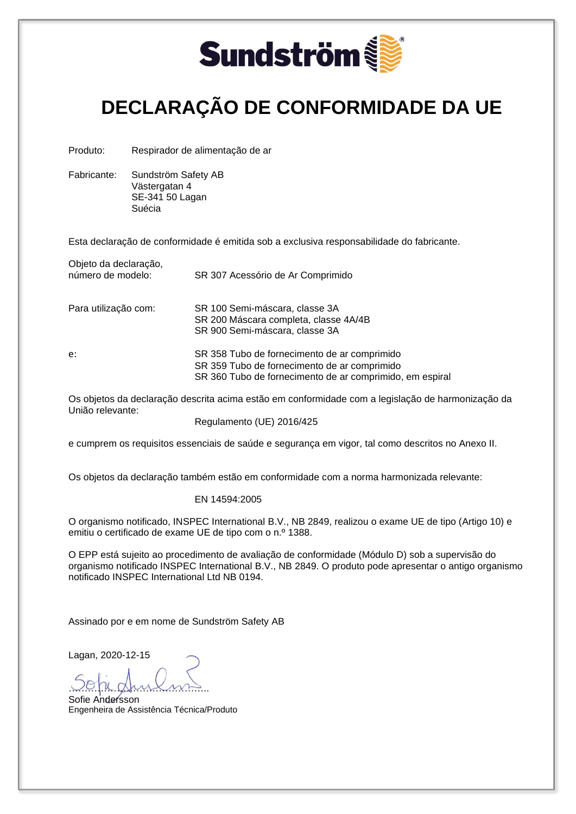

## **DECLARAÇÃO DE CONFORMIDADE DA UE**

Produto: Respirador de alimentação de ar

Fabricante: Sundström Safety AB Västergatan 4 SE-341 50 Lagan Suécia

Esta declaração de conformidade é emitida sob a exclusiva responsabilidade do fabricante.

| Objeto da declaração,<br>número de modelo: | SR 307 Acessório de Ar Comprimido                                                                                                                        |
|--------------------------------------------|----------------------------------------------------------------------------------------------------------------------------------------------------------|
| Para utilização com:                       | SR 100 Semi-máscara, classe 3A<br>SR 200 Máscara completa, classe 4A/4B<br>SR 900 Semi-máscara, classe 3A                                                |
| e:                                         | SR 358 Tubo de fornecimento de ar comprimido<br>SR 359 Tubo de fornecimento de ar comprimido<br>SR 360 Tubo de fornecimento de ar comprimido, em espiral |

Os objetos da declaração descrita acima estão em conformidade com a legislação de harmonização da União relevante:

Regulamento (UE) 2016/425

e cumprem os requisitos essenciais de saúde e segurança em vigor, tal como descritos no Anexo II.

Os objetos da declaração também estão em conformidade com a norma harmonizada relevante:

#### EN 14594:2005

O organismo notificado, INSPEC International B.V., NB 2849, realizou o exame UE de tipo (Artigo 10) e emitiu o certificado de exame UE de tipo com o n.º 1388.

O EPP está sujeito ao procedimento de avaliação de conformidade (Módulo D) sob a supervisão do organismo notificado INSPEC International B.V., NB 2849. O produto pode apresentar o antigo organismo notificado INSPEC International Ltd NB 0194.

Assinado por e em nome de Sundström Safety AB

Lagan, 2020-12-15

<u>voja gruioms</u> Sofie Andersson

Engenheira de Assistência Técnica/Produto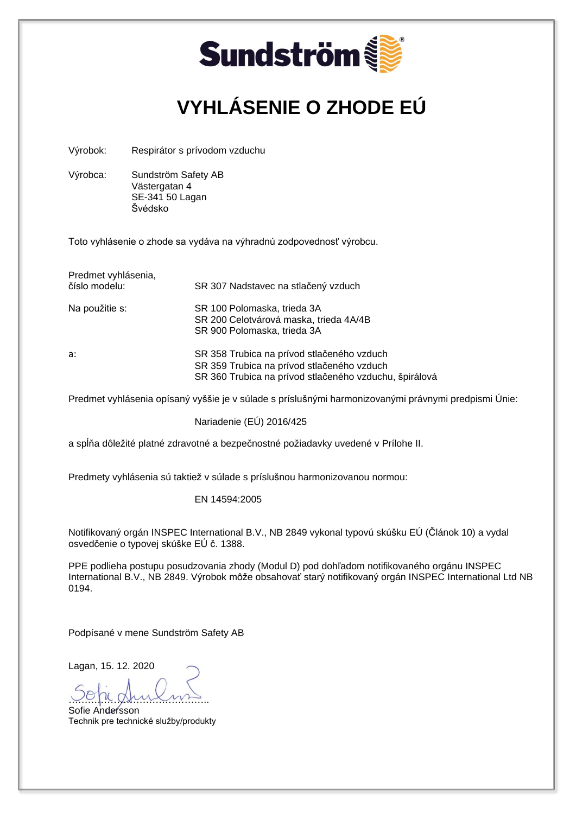

## **VYHLÁSENIE O ZHODE EÚ**

Výrobok: Respirátor s prívodom vzduchu

Výrobca: Sundström Safety AB Västergatan 4 SE-341 50 Lagan Švédsko

Toto vyhlásenie o zhode sa vydáva na výhradnú zodpovednosť výrobcu.

| Predmet vyhlásenia, |                                                                                                                                                    |
|---------------------|----------------------------------------------------------------------------------------------------------------------------------------------------|
| číslo modelu:       | SR 307 Nadstavec na stlačený vzduch                                                                                                                |
| Na použitie s:      | SR 100 Polomaska, trieda 3A<br>SR 200 Celotvárová maska, trieda 4A/4B<br>SR 900 Polomaska, trieda 3A                                               |
| a:                  | SR 358 Trubica na prívod stlačeného vzduch<br>SR 359 Trubica na prívod stlačeného vzduch<br>SR 360 Trubica na prívod stlačeného vzduchu, špirálová |

Predmet vyhlásenia opísaný vyššie je v súlade s príslušnými harmonizovanými právnymi predpismi Únie:

Nariadenie (EÚ) 2016/425

a spĺňa dôležité platné zdravotné a bezpečnostné požiadavky uvedené v Prílohe II.

Predmety vyhlásenia sú taktiež v súlade s príslušnou harmonizovanou normou:

EN 14594:2005

Notifikovaný orgán INSPEC International B.V., NB 2849 vykonal typovú skúšku EÚ (Článok 10) a vydal osvedčenie o typovej skúške EÚ č. 1388.

PPE podlieha postupu posudzovania zhody (Modul D) pod dohľadom notifikovaného orgánu INSPEC International B.V., NB 2849. Výrobok môže obsahovať starý notifikovaný orgán INSPEC International Ltd NB 0194.

Podpísané v mene Sundström Safety AB

Lagan, 15. 12. 2020

……………………………………..

Sofie Andersson Technik pre technické služby/produkty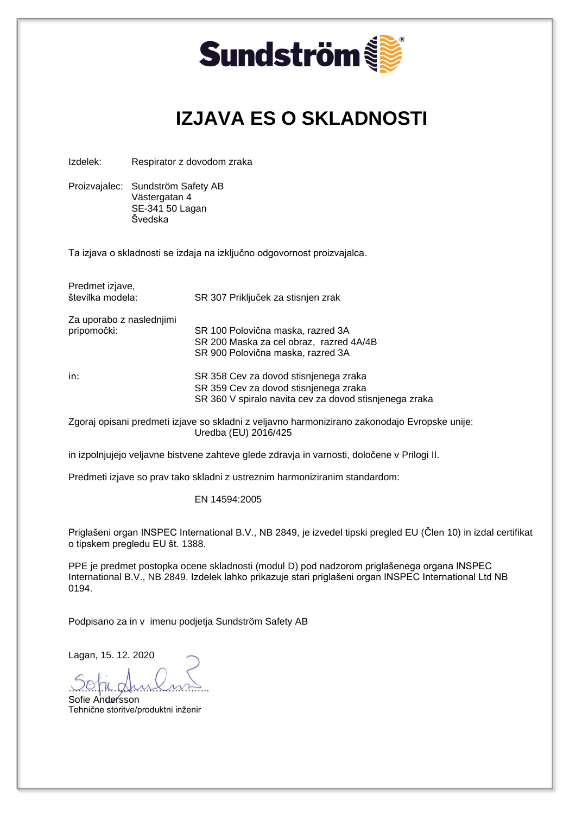

## **IZJAVA ES O SKLADNOSTI**

Izdelek: Respirator z dovodom zraka

Proizvajalec: Sundström Safety AB Västergatan 4 SE-341 50 Lagan Švedska

Ta izjava o skladnosti se izdaja na izključno odgovornost proizvajalca.

| Predmet izjave,<br>številka modela:     | SR 307 Priključek za stisnjen zrak                                                                                                       |
|-----------------------------------------|------------------------------------------------------------------------------------------------------------------------------------------|
| Za uporabo z naslednjimi<br>pripomočki: | SR 100 Polovična maska, razred 3A<br>SR 200 Maska za cel obraz, razred 4A/4B<br>SR 900 Polovična maska, razred 3A                        |
| in:                                     | SR 358 Cev za dovod stisnjenega zraka<br>SR 359 Cev za dovod stisnjenega zraka<br>SR 360 V spiralo navita cev za dovod stisnjenega zraka |

Zgoraj opisani predmeti izjave so skladni z veljavno harmonizirano zakonodajo Evropske unije: Uredba (EU) 2016/425

in izpolnjujejo veljavne bistvene zahteve glede zdravja in varnosti, določene v Prilogi II.

Predmeti izjave so prav tako skladni z ustreznim harmoniziranim standardom:

EN 14594:2005

Priglašeni organ INSPEC International B.V., NB 2849, je izvedel tipski pregled EU (Člen 10) in izdal certifikat o tipskem pregledu EU št. 1388.

PPE je predmet postopka ocene skladnosti (modul D) pod nadzorom priglašenega organa INSPEC International B.V., NB 2849. Izdelek lahko prikazuje stari priglašeni organ INSPEC International Ltd NB 0194.

Podpisano za in v imenu podjetja Sundström Safety AB

Lagan, 15. 12. 2020

<u>voja gruioms</u> Sofie Andersson

Tehnične storitve/produktni inženir